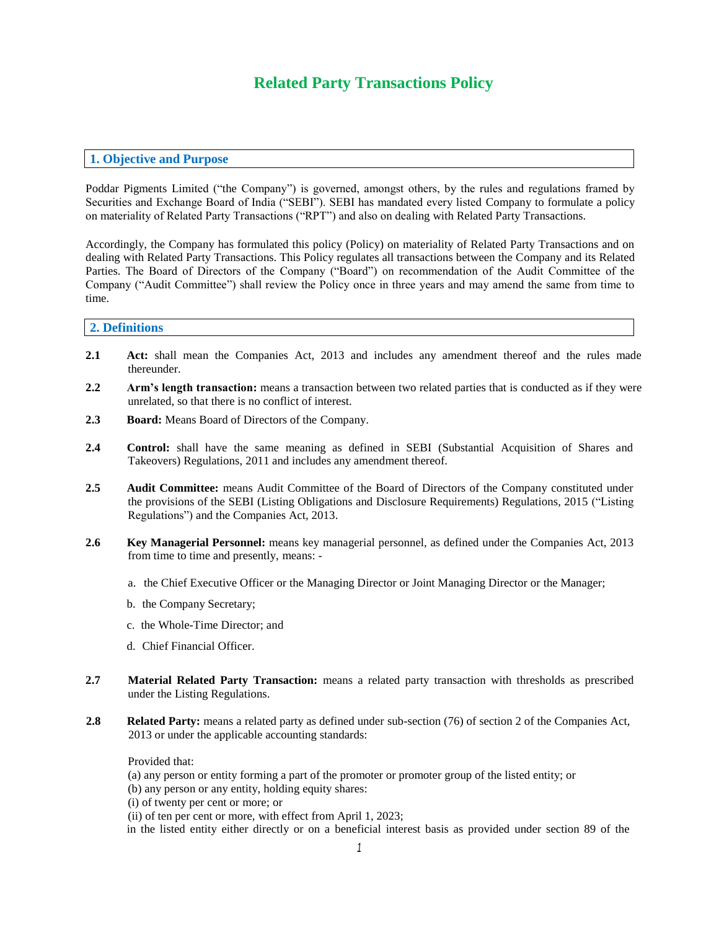# **Related Party Transactions Policy**

# **1. Objective and Purpose**

Poddar Pigments Limited ("the Company") is governed, amongst others, by the rules and regulations framed by Securities and Exchange Board of India ("SEBI"). SEBI has mandated every listed Company to formulate a policy on materiality of Related Party Transactions ("RPT") and also on dealing with Related Party Transactions.

Accordingly, the Company has formulated this policy (Policy) on materiality of Related Party Transactions and on dealing with Related Party Transactions. This Policy regulates all transactions between the Company and its Related Parties. The Board of Directors of the Company ("Board") on recommendation of the Audit Committee of the Company ("Audit Committee") shall review the Policy once in three years and may amend the same from time to time.

### **2. Definitions**

- **2.1 Act:** shall mean the Companies Act, 2013 and includes any amendment thereof and the rules made thereunder.
- **2.2 Arm's length transaction:** means a transaction between two related parties that is conducted as if they were unrelated, so that there is no conflict of interest.
- **2.3 Board:** Means Board of Directors of the Company.
- **2.4 Control:** shall have the same meaning as defined in SEBI (Substantial Acquisition of Shares and Takeovers) Regulations, 2011 and includes any amendment thereof.
- **2.5 Audit Committee:** means Audit Committee of the Board of Directors of the Company constituted under the provisions of the SEBI (Listing Obligations and Disclosure Requirements) Regulations, 2015 ("Listing Regulations") and the Companies Act, 2013.
- **2.6 Key Managerial Personnel:** means key managerial personnel, as defined under the Companies Act, 2013 from time to time and presently, means:
	- a. the Chief Executive Officer or the Managing Director or Joint Managing Director or the Manager;
	- b. the Company Secretary;
	- c. the Whole-Time Director; and
	- d. Chief Financial Officer.
- **2.7 Material Related Party Transaction:** means a related party transaction with thresholds as prescribed under the Listing Regulations.
- **2.8 Related Party:** means a related party as defined under sub-section (76) of section 2 of the Companies Act, 2013 or under the applicable accounting standards:

Provided that:

(a) any person or entity forming a part of the promoter or promoter group of the listed entity; or

(b) any person or any entity, holding equity shares:

(i) of twenty per cent or more; or

(ii) of ten per cent or more, with effect from April 1, 2023;

in the listed entity either directly or on a beneficial interest basis as provided under section 89 of the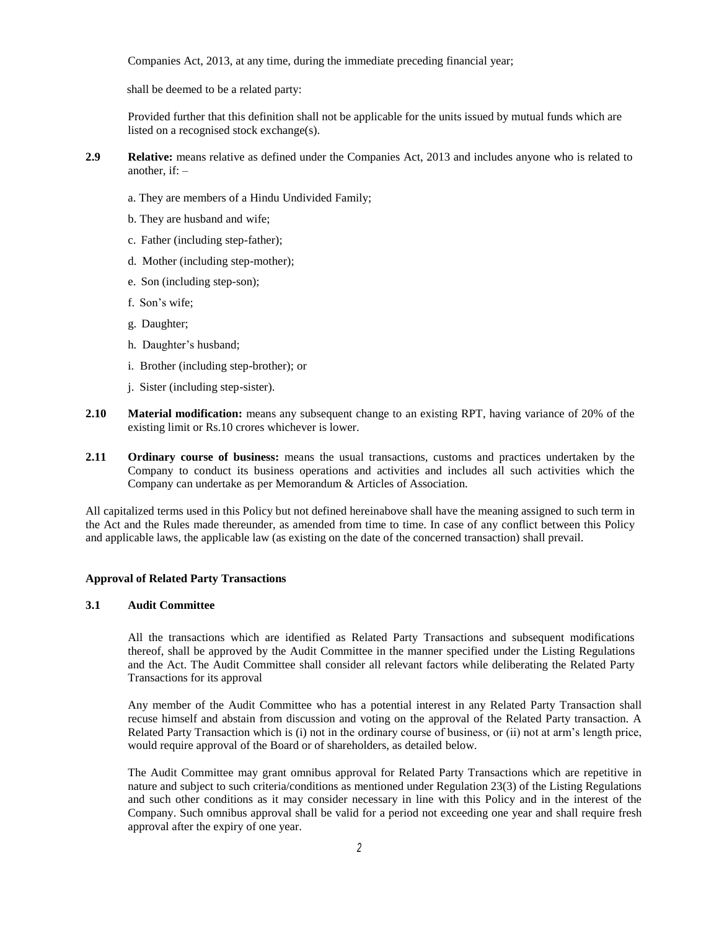Companies Act, 2013, at any time, during the immediate preceding financial year;

shall be deemed to be a related party:

Provided further that this definition shall not be applicable for the units issued by mutual funds which are listed on a recognised stock exchange(s).

- **2.9 Relative:** means relative as defined under the Companies Act, 2013 and includes anyone who is related to another,  $if:$  –
	- a. They are members of a Hindu Undivided Family;
	- b. They are husband and wife;
	- c. Father (including step-father);
	- d. Mother (including step-mother);
	- e. Son (including step-son);
	- f. Son's wife;
	- g. Daughter;
	- h. Daughter's husband;
	- i. Brother (including step-brother); or
	- j. Sister (including step-sister).
- **2.10 Material modification:** means any subsequent change to an existing RPT, having variance of 20% of the existing limit or Rs.10 crores whichever is lower.
- **2.11 Ordinary course of business:** means the usual transactions, customs and practices undertaken by the Company to conduct its business operations and activities and includes all such activities which the Company can undertake as per Memorandum & Articles of Association.

All capitalized terms used in this Policy but not defined hereinabove shall have the meaning assigned to such term in the Act and the Rules made thereunder, as amended from time to time. In case of any conflict between this Policy and applicable laws, the applicable law (as existing on the date of the concerned transaction) shall prevail.

#### **Approval of Related Party Transactions**

#### **3.1 Audit Committee**

All the transactions which are identified as Related Party Transactions and subsequent modifications thereof, shall be approved by the Audit Committee in the manner specified under the Listing Regulations and the Act. The Audit Committee shall consider all relevant factors while deliberating the Related Party Transactions for its approval

Any member of the Audit Committee who has a potential interest in any Related Party Transaction shall recuse himself and abstain from discussion and voting on the approval of the Related Party transaction. A Related Party Transaction which is (i) not in the ordinary course of business, or (ii) not at arm's length price, would require approval of the Board or of shareholders, as detailed below.

The Audit Committee may grant omnibus approval for Related Party Transactions which are repetitive in nature and subject to such criteria/conditions as mentioned under Regulation 23(3) of the Listing Regulations and such other conditions as it may consider necessary in line with this Policy and in the interest of the Company. Such omnibus approval shall be valid for a period not exceeding one year and shall require fresh approval after the expiry of one year.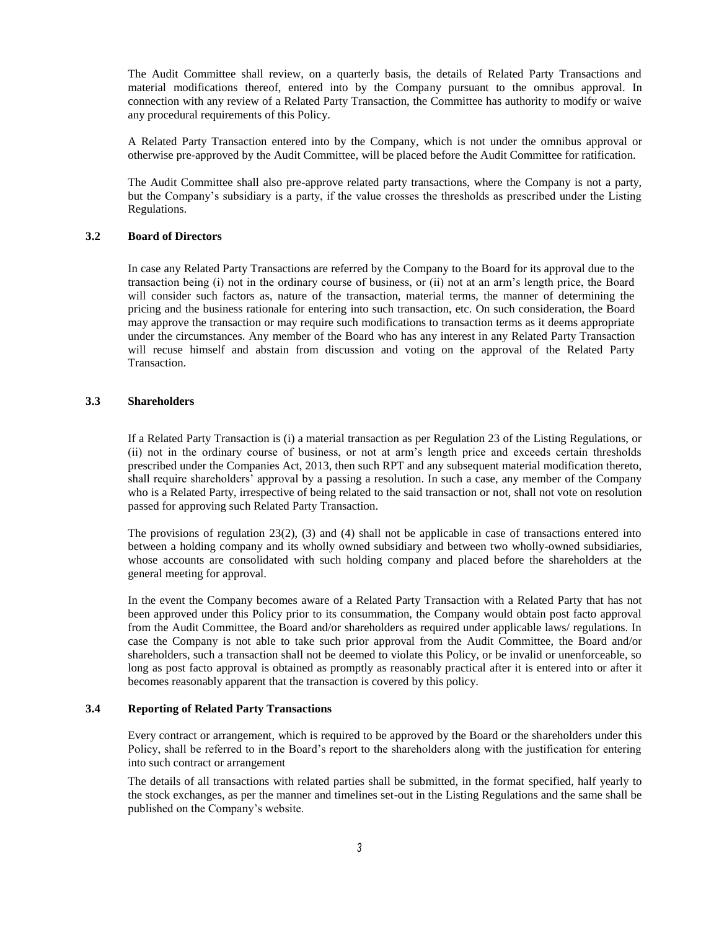The Audit Committee shall review, on a quarterly basis, the details of Related Party Transactions and material modifications thereof, entered into by the Company pursuant to the omnibus approval. In connection with any review of a Related Party Transaction, the Committee has authority to modify or waive any procedural requirements of this Policy.

A Related Party Transaction entered into by the Company, which is not under the omnibus approval or otherwise pre-approved by the Audit Committee, will be placed before the Audit Committee for ratification.

The Audit Committee shall also pre-approve related party transactions, where the Company is not a party, but the Company's subsidiary is a party, if the value crosses the thresholds as prescribed under the Listing Regulations.

# **3.2 Board of Directors**

In case any Related Party Transactions are referred by the Company to the Board for its approval due to the transaction being (i) not in the ordinary course of business, or (ii) not at an arm's length price, the Board will consider such factors as, nature of the transaction, material terms, the manner of determining the pricing and the business rationale for entering into such transaction, etc. On such consideration, the Board may approve the transaction or may require such modifications to transaction terms as it deems appropriate under the circumstances. Any member of the Board who has any interest in any Related Party Transaction will recuse himself and abstain from discussion and voting on the approval of the Related Party Transaction.

# **3.3 Shareholders**

If a Related Party Transaction is (i) a material transaction as per Regulation 23 of the Listing Regulations, or (ii) not in the ordinary course of business, or not at arm's length price and exceeds certain thresholds prescribed under the Companies Act, 2013, then such RPT and any subsequent material modification thereto, shall require shareholders' approval by a passing a resolution. In such a case, any member of the Company who is a Related Party, irrespective of being related to the said transaction or not, shall not vote on resolution passed for approving such Related Party Transaction.

The provisions of regulation 23(2), (3) and (4) shall not be applicable in case of transactions entered into between a holding company and its wholly owned subsidiary and between two wholly-owned subsidiaries, whose accounts are consolidated with such holding company and placed before the shareholders at the general meeting for approval.

In the event the Company becomes aware of a Related Party Transaction with a Related Party that has not been approved under this Policy prior to its consummation, the Company would obtain post facto approval from the Audit Committee, the Board and/or shareholders as required under applicable laws/ regulations. In case the Company is not able to take such prior approval from the Audit Committee, the Board and/or shareholders, such a transaction shall not be deemed to violate this Policy, or be invalid or unenforceable, so long as post facto approval is obtained as promptly as reasonably practical after it is entered into or after it becomes reasonably apparent that the transaction is covered by this policy.

#### **3.4 Reporting of Related Party Transactions**

Every contract or arrangement, which is required to be approved by the Board or the shareholders under this Policy, shall be referred to in the Board's report to the shareholders along with the justification for entering into such contract or arrangement

The details of all transactions with related parties shall be submitted, in the format specified, half yearly to the stock exchanges, as per the manner and timelines set-out in the Listing Regulations and the same shall be published on the Company's website.